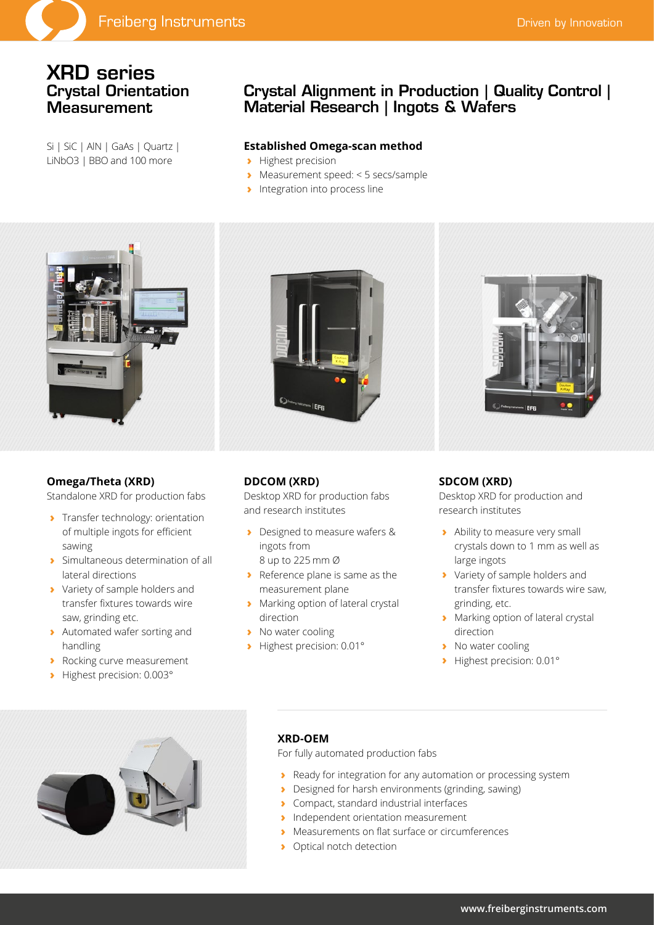# XRD series Crystal Orientation **Measurement**

Si | SiC | AlN | GaAs | Quartz | LiNbO3 | BBO and 100 more

# Crystal Alignment in Production | Quality Control | Material Research | Ingots & Wafers

### **Established Omega-scan method**

- **›** Highest precision
- **›** Measurement speed: < 5 secs/sample
- **›** Integration into process line



## **Omega/Theta (XRD)**

Standalone XRD for production fabs

- **›** Transfer technology: orientation of multiple ingots for efficient sawing
- **›** Simultaneous determination of all lateral directions
- **›** Variety of sample holders and transfer fixtures towards wire saw, grinding etc.
- **›** Automated wafer sorting and handling
- **›** Rocking curve measurement
- **›** Highest precision: 0.003°





## **DDCOM (XRD)**

Desktop XRD for production fabs and research institutes

- **›** Designed to measure wafers & ingots from 8 up to 225 mm Ø
- **›** Reference plane is same as the measurement plane
- **›** Marking option of lateral crystal direction
- **›** No water cooling
- **›** Highest precision: 0.01°

### **SDCOM (XRD)**

Desktop XRD for production and research institutes

- **›** Ability to measure very small crystals down to 1 mm as well as large ingots
- **›** Variety of sample holders and transfer fixtures towards wire saw, grinding, etc.
- **›** Marking option of lateral crystal direction
- **›** No water cooling
- **›** Highest precision: 0.01°



### **XRD-OEM**

For fully automated production fabs

- **›** Ready for integration for any automation or processing system
- **›** Designed for harsh environments (grinding, sawing)
- **›** Compact, standard industrial interfaces
- **›** Independent orientation measurement
- **›** Measurements on flat surface or circumferences
- **›** Optical notch detection